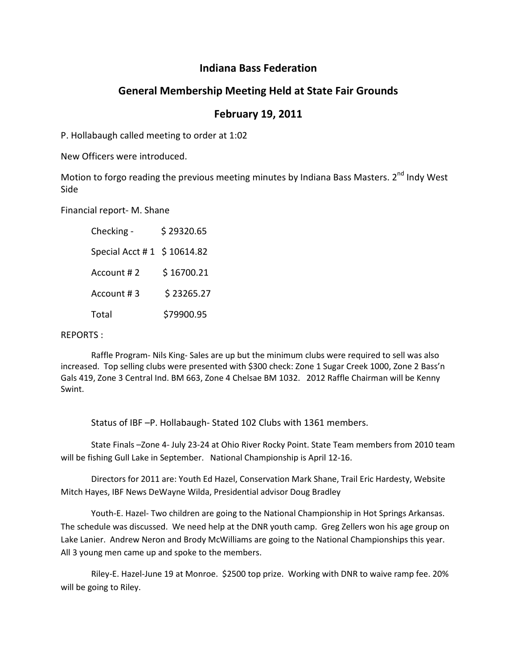## **Indiana Bass Federation**

## **General Membership Meeting Held at State Fair Grounds**

## **February 19, 2011**

P. Hollabaugh called meeting to order at 1:02

New Officers were introduced.

Motion to forgo reading the previous meeting minutes by Indiana Bass Masters. 2<sup>nd</sup> Indy West Side

Financial report- M. Shane

 Checking - \$ 29320.65 Special Acct # 1 \$ 10614.82 Account # 2 \$ 16700.21  $Account # 3 \t5 23265.27$ Total \$79900.95

## REPORTS :

 Raffle Program- Nils King- Sales are up but the minimum clubs were required to sell was also increased. Top selling clubs were presented with \$300 check: Zone 1 Sugar Creek 1000, Zone 2 Bass'n Gals 419, Zone 3 Central Ind. BM 663, Zone 4 Chelsae BM 1032. 2012 Raffle Chairman will be Kenny Swint.

Status of IBF –P. Hollabaugh- Stated 102 Clubs with 1361 members.

 State Finals –Zone 4- July 23-24 at Ohio River Rocky Point. State Team members from 2010 team will be fishing Gull Lake in September. National Championship is April 12-16.

 Directors for 2011 are: Youth Ed Hazel, Conservation Mark Shane, Trail Eric Hardesty, Website Mitch Hayes, IBF News DeWayne Wilda, Presidential advisor Doug Bradley

Youth-E. Hazel- Two children are going to the National Championship in Hot Springs Arkansas. The schedule was discussed. We need help at the DNR youth camp. Greg Zellers won his age group on Lake Lanier. Andrew Neron and Brody McWilliams are going to the National Championships this year. All 3 young men came up and spoke to the members.

 Riley-E. Hazel-June 19 at Monroe. \$2500 top prize. Working with DNR to waive ramp fee. 20% will be going to Riley.